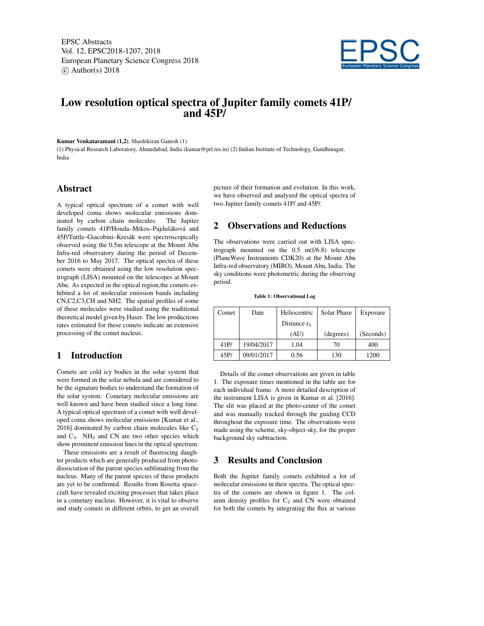EPSC Abstracts Vol. 12, EPSC2018-1207, 2018 European Planetary Science Congress 2018  $\circ$  Author(s) 2018



# Low resolution optical spectra of Jupiter family comets 41P/ and 45P/

#### Kumar Venkataramani (1,2), Shashikiran Ganesh (1)

(1) Physical Research Laboratory, Ahmedabad, India (kumar@prl.res.in) (2) Indian Institute of Technology, Gandhinagar, India

#### Abstract

A typical optical spectrum of a comet with well developed coma shows molecular emissions dominated by carbon chain molecules. The Jupiter family comets 41P/Honda–Mrkos–Pajdušáková and 45P/Tuttle–Giacobini–Kresák were spectroscopically observed using the 0.5m telescope at the Mount Abu Infra-red observatory during the period of December 2016 to May 2017. The optical spectra of these comets were obtained using the low resolution spectrograph (LISA) mounted on the telescopes at Mount Abu. As expected in the optical region,the comets exhibited a lot of molecular emission bands including CN,C2,C3,CH and NH2. The spatial profiles of some of these molecules were studied using the traditional theoretical model given by Haser. The low productions rates estimated for these comets indicate an extensive processing of the comet nucleus.

## 1 Introduction

Comets are cold icy bodies in the solar system that were formed in the solar nebula and are considered to be the signature bodies to understand the formation of the solar system. Cometary molecular emissions are well known and have been studied since a long time. A typical optical spectrum of a comet with well developed coma shows molecular emissions [Kumar et al., 2016] dominated by carbon chain molecules like  $C_2$ and  $C_3$ . NH<sub>2</sub> and CN are two other species which show prominent emission lines in the optical spectrum.

These emissions are a result of fluorescing daughter products which are generally produced from photodissociation of the parent species sublimating from the nucleus. Many of the parent species of these products are yet to be confirmed. Results from Rosetta spacecraft have revealed exciting processes that takes place in a cometary nucleus. However, it is vital to observe and study comets in different orbits, to get an overall

picture of their formation and evolution. In this work, we have observed and analysed the optical spectra of two Jupiter family comets 41P/ and 45P/.

## 2 Observations and Reductions

The observations were carried out with LISA spectrograph mounted on the 0.5 m(f/6.8) telescope (PlaneWave Instruments CDK20) at the Mount Abu Infra-red observatory (MIRO), Mount Abu, India. The sky conditions were photometric during the observing period.

Table 1: Observational Log

| Comet | Date       | Heliocentric   | Solar Phase | Exposure  |
|-------|------------|----------------|-------------|-----------|
|       |            | Distance $r_h$ |             |           |
|       |            | (AU)           | (degrees)   | (Seconds) |
| 41P/  | 19/04/2017 | 1.04           | 70          | 400       |
| 45P/  | 09/01/2017 | 0.56           | 130         | 1200      |

Details of the comet observations are given in table 1. The exposure times mentioned in the table are for each individual frame. A more detailed description of the instrument LISA is given in Kumar et al. [2016]. The slit was placed at the photo-center of the comet and was manually tracked through the guiding CCD throughout the exposure time. The observations were made using the scheme, sky-object-sky, for the proper background sky subtraction.

#### 3 Results and Conclusion

Both the Jupiter family comets exhibited a lot of molecular emissions in their spectra. The optical spectra of the comets are shown in figure 1. The column density profiles for  $C_2$  and CN were obtained for both the comets by integrating the flux at various